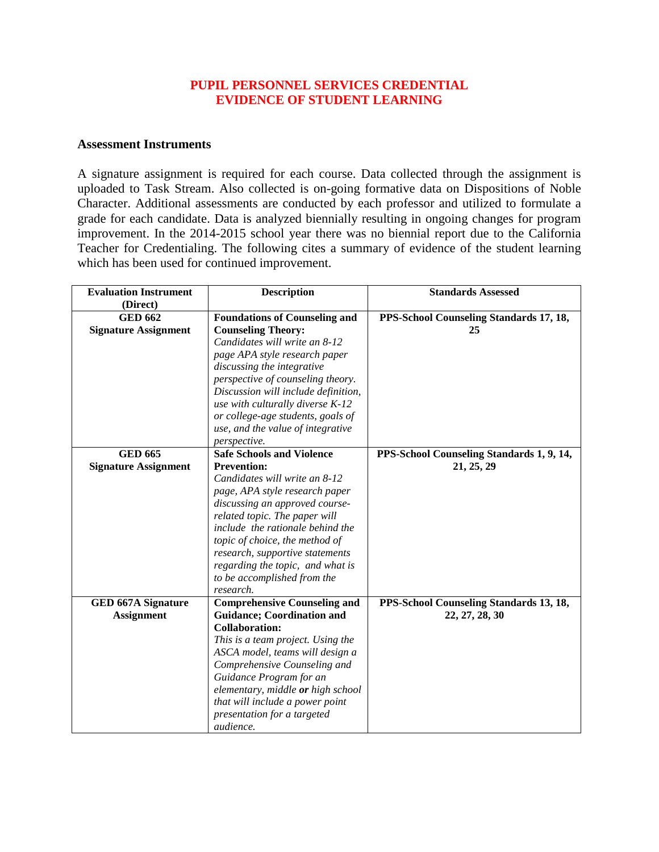### **PUPIL PERSONNEL SERVICES CREDENTIAL EVIDENCE OF STUDENT LEARNING**

#### **Assessment Instruments**

A signature assignment is required for each course. Data collected through the assignment is uploaded to Task Stream. Also collected is on-going formative data on Dispositions of Noble Character. Additional assessments are conducted by each professor and utilized to formulate a grade for each candidate. Data is analyzed biennially resulting in ongoing changes for program improvement. In the 2014-2015 school year there was no biennial report due to the California Teacher for Credentialing. The following cites a summary of evidence of the student learning which has been used for continued improvement.

| <b>Evaluation Instrument</b> | <b>Description</b>                   | <b>Standards Assessed</b>                 |
|------------------------------|--------------------------------------|-------------------------------------------|
| (Direct)                     |                                      |                                           |
| <b>GED 662</b>               | <b>Foundations of Counseling and</b> | PPS-School Counseling Standards 17, 18,   |
| <b>Signature Assignment</b>  | <b>Counseling Theory:</b>            | 25                                        |
|                              | Candidates will write an 8-12        |                                           |
|                              | page APA style research paper        |                                           |
|                              | discussing the integrative           |                                           |
|                              | perspective of counseling theory.    |                                           |
|                              | Discussion will include definition,  |                                           |
|                              | use with culturally diverse K-12     |                                           |
|                              | or college-age students, goals of    |                                           |
|                              | use, and the value of integrative    |                                           |
|                              | perspective.                         |                                           |
| <b>GED 665</b>               | <b>Safe Schools and Violence</b>     | PPS-School Counseling Standards 1, 9, 14, |
| <b>Signature Assignment</b>  | <b>Prevention:</b>                   | 21, 25, 29                                |
|                              | Candidates will write an 8-12        |                                           |
|                              | page, APA style research paper       |                                           |
|                              | discussing an approved course-       |                                           |
|                              | related topic. The paper will        |                                           |
|                              | include the rationale behind the     |                                           |
|                              | topic of choice, the method of       |                                           |
|                              | research, supportive statements      |                                           |
|                              | regarding the topic, and what is     |                                           |
|                              | to be accomplished from the          |                                           |
|                              | research.                            |                                           |
| <b>GED 667A Signature</b>    | <b>Comprehensive Counseling and</b>  | PPS-School Counseling Standards 13, 18,   |
| <b>Assignment</b>            | <b>Guidance; Coordination and</b>    | 22, 27, 28, 30                            |
|                              | <b>Collaboration:</b>                |                                           |
|                              | This is a team project. Using the    |                                           |
|                              | ASCA model, teams will design a      |                                           |
|                              | Comprehensive Counseling and         |                                           |
|                              | Guidance Program for an              |                                           |
|                              | elementary, middle or high school    |                                           |
|                              | that will include a power point      |                                           |
|                              | presentation for a targeted          |                                           |
|                              | audience.                            |                                           |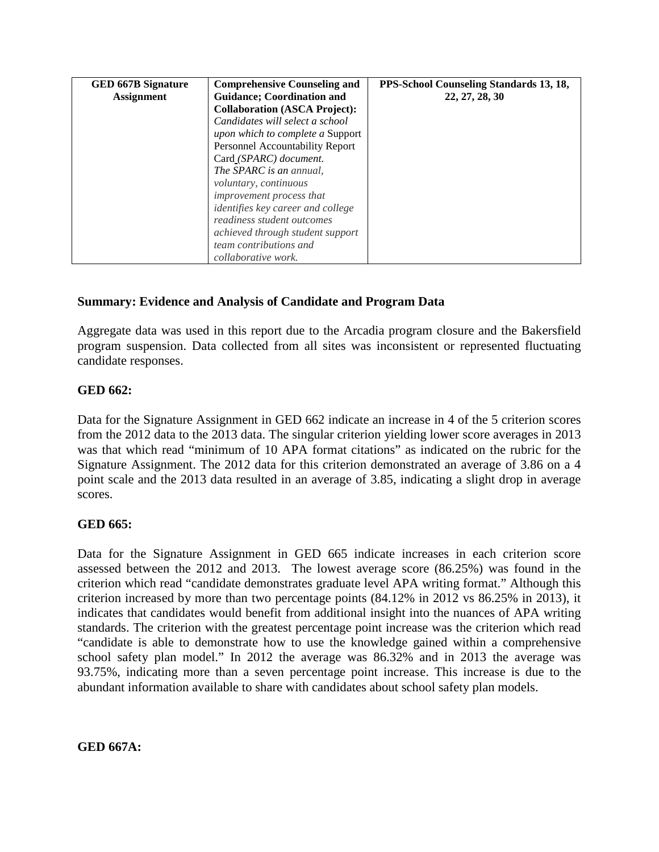| <b>GED 667B Signature</b> | <b>Comprehensive Counseling and</b>     | PPS-School Counseling Standards 13, 18, |
|---------------------------|-----------------------------------------|-----------------------------------------|
| <b>Assignment</b>         | <b>Guidance</b> ; Coordination and      | 22, 27, 28, 30                          |
|                           | <b>Collaboration (ASCA Project):</b>    |                                         |
|                           | Candidates will select a school         |                                         |
|                           | <i>upon which to complete a Support</i> |                                         |
|                           | Personnel Accountability Report         |                                         |
|                           | Card (SPARC) document.                  |                                         |
|                           | The SPARC is an annual,                 |                                         |
|                           | voluntary, continuous                   |                                         |
|                           | improvement process that                |                                         |
|                           | identifies key career and college       |                                         |
|                           | readiness student outcomes              |                                         |
|                           | achieved through student support        |                                         |
|                           | team contributions and                  |                                         |
|                           | collaborative work.                     |                                         |

# **Summary: Evidence and Analysis of Candidate and Program Data**

Aggregate data was used in this report due to the Arcadia program closure and the Bakersfield program suspension. Data collected from all sites was inconsistent or represented fluctuating candidate responses.

## **GED 662:**

Data for the Signature Assignment in GED 662 indicate an increase in 4 of the 5 criterion scores from the 2012 data to the 2013 data. The singular criterion yielding lower score averages in 2013 was that which read "minimum of 10 APA format citations" as indicated on the rubric for the Signature Assignment. The 2012 data for this criterion demonstrated an average of 3.86 on a 4 point scale and the 2013 data resulted in an average of 3.85, indicating a slight drop in average scores.

### **GED 665:**

Data for the Signature Assignment in GED 665 indicate increases in each criterion score assessed between the 2012 and 2013. The lowest average score (86.25%) was found in the criterion which read "candidate demonstrates graduate level APA writing format." Although this criterion increased by more than two percentage points (84.12% in 2012 vs 86.25% in 2013), it indicates that candidates would benefit from additional insight into the nuances of APA writing standards. The criterion with the greatest percentage point increase was the criterion which read "candidate is able to demonstrate how to use the knowledge gained within a comprehensive school safety plan model." In 2012 the average was 86.32% and in 2013 the average was 93.75%, indicating more than a seven percentage point increase. This increase is due to the abundant information available to share with candidates about school safety plan models.

**GED 667A:**